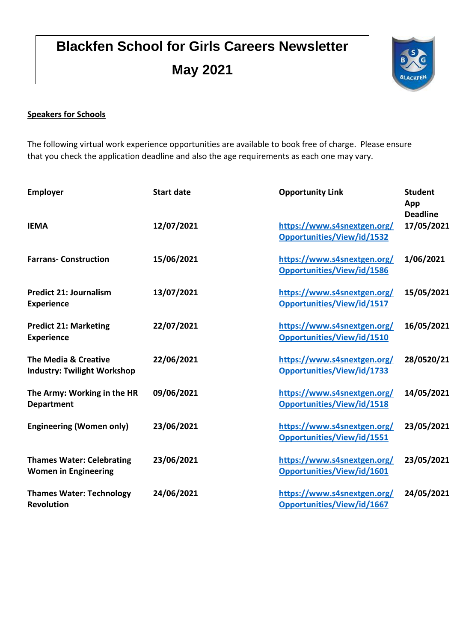# **Blackfen School for Girls Careers Newsletter May 2021**



### **Speakers for Schools**

The following virtual work experience opportunities are available to book free of charge. Please ensure that you check the application deadline and also the age requirements as each one may vary.

| <b>Employer</b>                                                 | <b>Start date</b> | <b>Opportunity Link</b>                                          | <b>Student</b><br>App<br><b>Deadline</b> |
|-----------------------------------------------------------------|-------------------|------------------------------------------------------------------|------------------------------------------|
| <b>IEMA</b>                                                     | 12/07/2021        | https://www.s4snextgen.org/<br>Opportunities/View/id/1532        | 17/05/2021                               |
| <b>Farrans-Construction</b>                                     | 15/06/2021        | https://www.s4snextgen.org/<br>Opportunities/View/id/1586        | 1/06/2021                                |
| <b>Predict 21: Journalism</b><br><b>Experience</b>              | 13/07/2021        | https://www.s4snextgen.org/<br><b>Opportunities/View/id/1517</b> | 15/05/2021                               |
| <b>Predict 21: Marketing</b><br><b>Experience</b>               | 22/07/2021        | https://www.s4snextgen.org/<br>Opportunities/View/id/1510        | 16/05/2021                               |
| The Media & Creative<br><b>Industry: Twilight Workshop</b>      | 22/06/2021        | https://www.s4snextgen.org/<br>Opportunities/View/id/1733        | 28/0520/21                               |
| The Army: Working in the HR<br><b>Department</b>                | 09/06/2021        | https://www.s4snextgen.org/<br><b>Opportunities/View/id/1518</b> | 14/05/2021                               |
| <b>Engineering (Women only)</b>                                 | 23/06/2021        | https://www.s4snextgen.org/<br>Opportunities/View/id/1551        | 23/05/2021                               |
| <b>Thames Water: Celebrating</b><br><b>Women in Engineering</b> | 23/06/2021        | https://www.s4snextgen.org/<br>Opportunities/View/id/1601        | 23/05/2021                               |
| <b>Thames Water: Technology</b><br><b>Revolution</b>            | 24/06/2021        | https://www.s4snextgen.org/<br>Opportunities/View/id/1667        | 24/05/2021                               |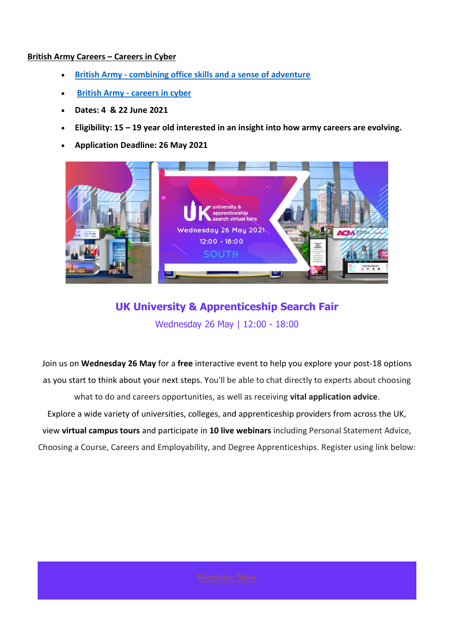#### **British Army Careers – Careers in Cyber**

- **British Army - [combining office skills and a sense of adventure](https://www.s4snextgen.org/Opportunities/View/id/1518)**
- **British Army - [careers in cyber](https://www.s4snextgen.org/Opportunities/View/id/1651)**
- **Dates: 4 & 22 June 2021**
- **Eligibility: 15 – 19 year old interested in an insight into how army careers are evolving.**
- **Application Deadline: 26 May 2021**



# **UK University & Apprenticeship Search Fair** Wednesday 26 May | 12:00 - 18:00

Join us on **Wednesday 26 May** for a **free** interactive event to help you explore your post-18 options as you start to think about your next steps. You'll be able to chat directly to experts about choosing what to do and careers opportunities, as well as receiving **vital application advice**. Explore a wide variety of universities, colleges, and apprenticeship providers from across the UK, view **virtual campus tours** and participate in **10 live webinars** including Personal Statement Advice, Choosing a Course, Careers and Employability, and Degree Apprenticeships. Register using link below: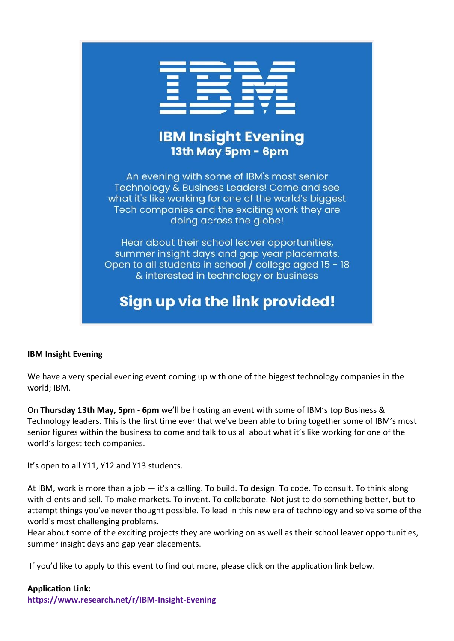

# **IBM Insight Evening** 13th May 5pm - 6pm

An evening with some of IBM's most senior Technology & Business Leaders! Come and see what it's like working for one of the world's biggest Tech companies and the exciting work they are doing across the globe!

Hear about their school leaver opportunities, summer insight days and gap year placemats. Open to all students in school / college aged 15 - 18 & interested in technology or business

# **Sign up via the link provided!**

### **IBM Insight Evening**

We have a very special evening event coming up with one of the biggest technology companies in the world; IBM.

On **Thursday 13th May, 5pm - 6pm** we'll be hosting an event with some of IBM's top Business & Technology leaders. This is the first time ever that we've been able to bring together some of IBM's most senior figures within the business to come and talk to us all about what it's like working for one of the world's largest tech companies.

It's open to all Y11, Y12 and Y13 students.

At IBM, work is more than a job — it's a calling. To build. To design. To code. To consult. To think along with clients and sell. To make markets. To invent. To collaborate. Not just to do something better, but to attempt things you've never thought possible. To lead in this new era of technology and solve some of the world's most challenging problems.

Hear about some of the exciting projects they are working on as well as their school leaver opportunities, summer insight days and gap year placements.

If you'd like to apply to this event to find out more, please click on the application link below.

#### **Application Link:**

**<https://www.research.net/r/IBM-Insight-Evening>**